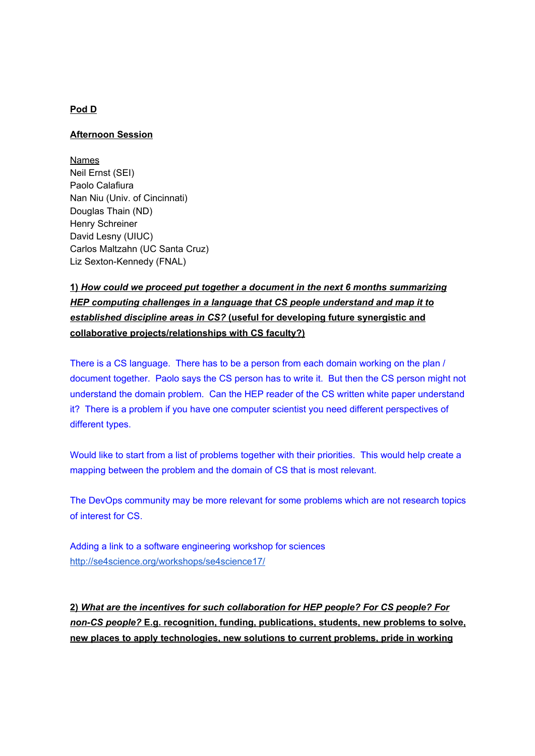### **Pod D**

#### **Afternoon Session**

**Names** Neil Ernst (SEI) Paolo Calafiura Nan Niu (Univ. of Cincinnati) Douglas Thain (ND) Henry Schreiner David Lesny (UIUC) Carlos Maltzahn (UC Santa Cruz) Liz Sexton-Kennedy (FNAL)

# **1)** *How could we proceed put together a document in the next 6 months summarizing HEP computing challenges in a language that CS people understand and map it to established discipline a reas in CS?* **(useful for developing future synergistic and collaborative projects/relationships with CS faculty?)**

There is a CS language. There has to be a person from each domain working on the plan / document together. Paolo says the CS person has to write it. But then the CS person might not understand the domain problem. Can the HEP reader of the CS written white paper understand it? There is a problem if you have one computer scientist you need different perspectives of different types.

Would like to start from a list of problems together with their priorities. This would help create a mapping between the problem and the domain of CS that is most relevant.

The DevOps community may be more relevant for some problems which are not research topics of interest for CS.

Adding a link to a software engineering workshop for sciences http://se4science.org/workshops/se4science17/

**2)** *What are the incentives for such collaboration for HEP people? For CS people? For non-CS people?* **E.g. recognition, funding, publications, students, new problems to solve, new places to apply technologies, new solutions to current problems, pride in working**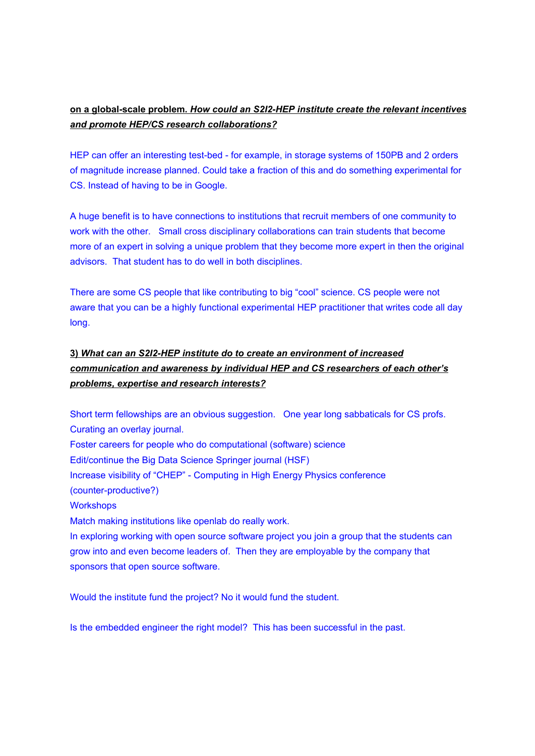## **on a global-scale problem.** *How could an S2I2-HEP institute create the relevant incentives and promote HEP/CS research collaborations?*

HEP can offer an interesting test-bed - for example, in storage systems of 150PB and 2 orders of magnitude increase planned. Could take a fraction of this and do something experimental for CS. Instead of having to be in Google.

A huge benefit is to have connections to institutions that recruit members of one community to work with the other. Small cross disciplinary collaborations can train students that become more of an expert in solving a unique problem that they become more expert in then the original advisors. That student has to do well in both disciplines.

There are some CS people that like contributing to big "cool" science. CS people were not aware that you can be a highly functional experimental HEP practitioner that writes code all day long.

# **3)** *What can an S2I2-HEP institute do to create an environment of increased communication and awareness by individual HEP and CS researchers of each other's problems, expertise and research interests?*

Short term fellowships are an obvious suggestion. One year long sabbaticals for CS profs. Curating an overlay journal. Foster careers for people who do computational (software) science Edit/continue the Big Data Science Springer journal (HSF) Increase visibility of "CHEP" - Computing in High Energy Physics conference (counter-productive?) **Workshops** Match making institutions like openlab do really work. In exploring working with open source software project you join a group that the students can grow into and even become leaders of. Then they are employable by the company that sponsors that open source software.

Would the institute fund the project? No it would fund the student.

Is the embedded engineer the right model? This has been successful in the past.